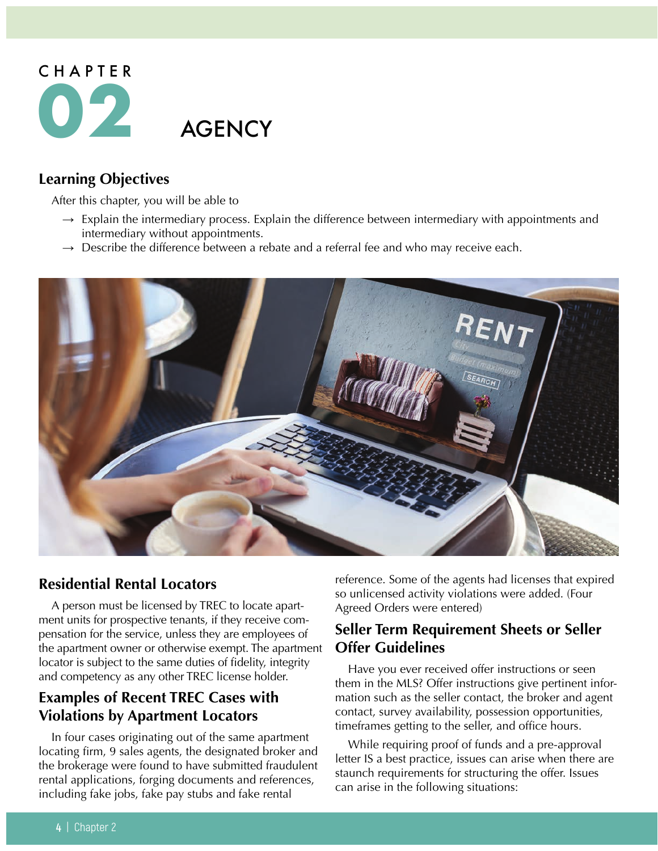

# **Learning Objectives**

After this chapter, you will be able to

- $\rightarrow$  Explain the intermediary process. Explain the difference between intermediary with appointments and intermediary without appointments.
- $\rightarrow$  Describe the difference between a rebate and a referral fee and who may receive each.



### **Residential Rental Locators**

A person must be licensed by TREC to locate apartment units for prospective tenants, if they receive compensation for the service, unless they are employees of the apartment owner or otherwise exempt. The apartment locator is subject to the same duties of fidelity, integrity and competency as any other TREC license holder.

# **Examples of Recent TREC Cases with Violations by Apartment Locators**

In four cases originating out of the same apartment locating firm, 9 sales agents, the designated broker and the brokerage were found to have submitted fraudulent rental applications, forging documents and references, including fake jobs, fake pay stubs and fake rental

reference. Some of the agents had licenses that expired so unlicensed activity violations were added. (Four Agreed Orders were entered)

### **Seller Term Requirement Sheets or Seller Offer Guidelines**

Have you ever received offer instructions or seen them in the MLS? Offer instructions give pertinent information such as the seller contact, the broker and agent contact, survey availability, possession opportunities, timeframes getting to the seller, and office hours.

While requiring proof of funds and a pre-approval letter IS a best practice, issues can arise when there are staunch requirements for structuring the offer. Issues can arise in the following situations: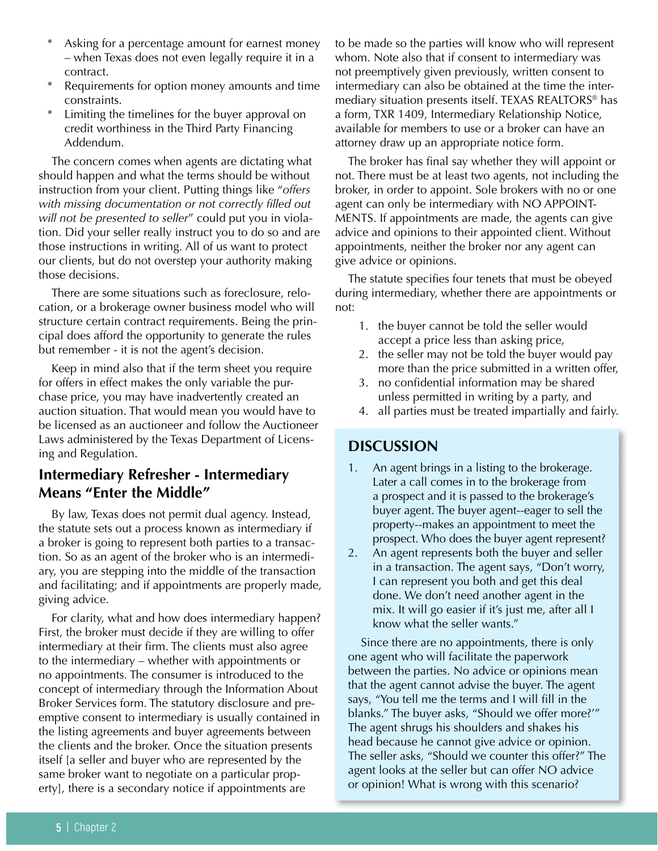- Asking for a percentage amount for earnest money – when Texas does not even legally require it in a contract.
- Requirements for option money amounts and time constraints.
- Limiting the timelines for the buyer approval on credit worthiness in the Third Party Financing Addendum.

The concern comes when agents are dictating what should happen and what the terms should be without instruction from your client. Putting things like "*offers with missing documentation or not correctly filled out will not be presented to seller*" could put you in violation. Did your seller really instruct you to do so and are those instructions in writing. All of us want to protect our clients, but do not overstep your authority making those decisions.

There are some situations such as foreclosure, relocation, or a brokerage owner business model who will structure certain contract requirements. Being the principal does afford the opportunity to generate the rules but remember - it is not the agent's decision.

Keep in mind also that if the term sheet you require for offers in effect makes the only variable the purchase price, you may have inadvertently created an auction situation. That would mean you would have to be licensed as an auctioneer and follow the Auctioneer Laws administered by the Texas Department of Licensing and Regulation.

# **Intermediary Refresher - Intermediary Means "Enter the Middle"**

By law, Texas does not permit dual agency. Instead, the statute sets out a process known as intermediary if a broker is going to represent both parties to a transaction. So as an agent of the broker who is an intermediary, you are stepping into the middle of the transaction and facilitating; and if appointments are properly made, giving advice.

For clarity, what and how does intermediary happen? First, the broker must decide if they are willing to offer intermediary at their firm. The clients must also agree to the intermediary – whether with appointments or no appointments. The consumer is introduced to the concept of intermediary through the Information About Broker Services form. The statutory disclosure and preemptive consent to intermediary is usually contained in the listing agreements and buyer agreements between the clients and the broker. Once the situation presents itself [a seller and buyer who are represented by the same broker want to negotiate on a particular property], there is a secondary notice if appointments are

to be made so the parties will know who will represent whom. Note also that if consent to intermediary was not preemptively given previously, written consent to intermediary can also be obtained at the time the intermediary situation presents itself. TEXAS REALTORS® has a form, TXR 1409, Intermediary Relationship Notice, available for members to use or a broker can have an attorney draw up an appropriate notice form.

The broker has final say whether they will appoint or not. There must be at least two agents, not including the broker, in order to appoint. Sole brokers with no or one agent can only be intermediary with NO APPOINT-MENTS. If appointments are made, the agents can give advice and opinions to their appointed client. Without appointments, neither the broker nor any agent can give advice or opinions.

The statute specifies four tenets that must be obeyed during intermediary, whether there are appointments or not:

- 1. the buyer cannot be told the seller would accept a price less than asking price,
- 2. the seller may not be told the buyer would pay more than the price submitted in a written offer,
- 3. no confidential information may be shared unless permitted in writing by a party, and
- 4. all parties must be treated impartially and fairly.

### **DISCUSSION**

- An agent brings in a listing to the brokerage. Later a call comes in to the brokerage from a prospect and it is passed to the brokerage's buyer agent. The buyer agent--eager to sell the property--makes an appointment to meet the prospect. Who does the buyer agent represent?
- 2. An agent represents both the buyer and seller in a transaction. The agent says, "Don't worry, I can represent you both and get this deal done. We don't need another agent in the mix. It will go easier if it's just me, after all I know what the seller wants."

Since there are no appointments, there is only one agent who will facilitate the paperwork between the parties. No advice or opinions mean that the agent cannot advise the buyer. The agent says, "You tell me the terms and I will fill in the blanks." The buyer asks, "Should we offer more?'" The agent shrugs his shoulders and shakes his head because he cannot give advice or opinion. The seller asks, "Should we counter this offer?" The agent looks at the seller but can offer NO advice or opinion! What is wrong with this scenario?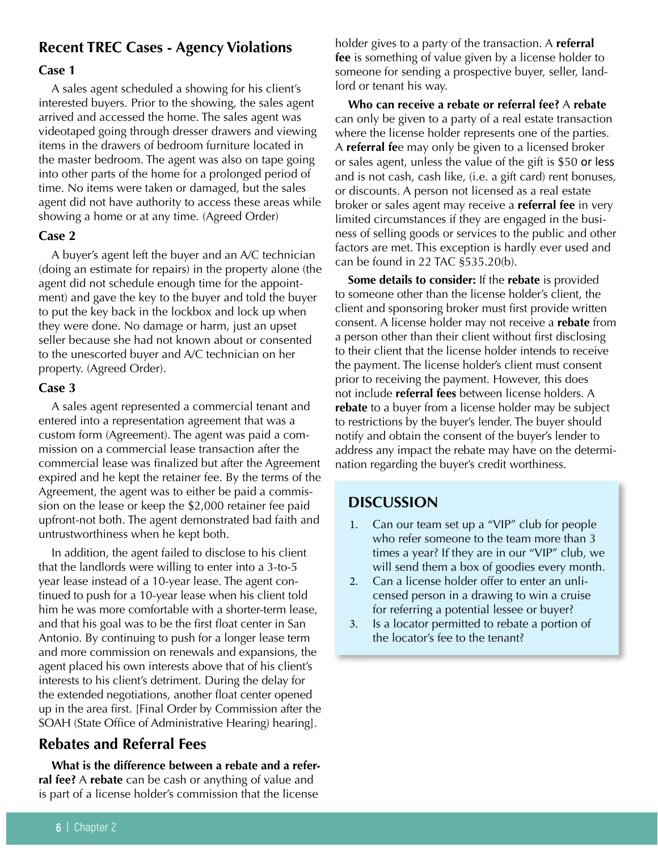# **Recent TREC Cases - Agency Violations**

#### **Case 1**

A sales agent scheduled a showing for his client's interested buyers. Prior to the showing, the sales agent arrived and accessed the home. The sales agent was videotaped going through dresser drawers and viewing items in the drawers of bedroom furniture located in the master bedroom. The agent was also on tape going into other parts of the home for a prolonged period of time. No items were taken or damaged, but the sales agent did not have authority to access these areas while showing a home or at any time. (Agreed Order)

#### **Case 2**

A buyer's agent left the buyer and an A/C technician (doing an estimate for repairs) in the property alone (the agent did not schedule enough time for the appointment) and gave the key to the buyer and told the buyer to put the key back in the lockbox and lock up when they were done. No damage or harm, just an upset seller because she had not known about or consented to the unescorted buyer and A/C technician on her property. (Agreed Order).

#### **Case 3**

A sales agent represented a commercial tenant and entered into a representation agreement that was a custom form (Agreement). The agent was paid a commission on a commercial lease transaction after the commercial lease was finalized but after the Agreement expired and he kept the retainer fee. By the terms of the Agreement, the agent was to either be paid a commission on the lease or keep the \$2,000 retainer fee paid upfront-not both. The agent demonstrated bad faith and untrustworthiness when he kept both.

In addition, the agent failed to disclose to his client that the landlords were willing to enter into a 3-to-5 year lease instead of a 10-year lease. The agent continued to push for a 10-year lease when his client told him he was more comfortable with a shorter-term lease, and that his goal was to be the first float center in San Antonio. By continuing to push for a longer lease term and more commission on renewals and expansions, the agent placed his own interests above that of his client's interests to his client's detriment. During the delay for the extended negotiations, another float center opened up in the area first. [Final Order by Commission after the SOAH (State Office of Administrative Hearing) hearing].

### **Rebates and Referral Fees**

**What is the difference between a rebate and a referral fee?** A **rebate** can be cash or anything of value and is part of a license holder's commission that the license

holder gives to a party of the transaction. A **referral fee** is something of value given by a license holder to someone for sending a prospective buyer, seller, landlord or tenant his way.

**Who can receive a rebate or referral fee?** A **rebate** can only be given to a party of a real estate transaction where the license holder represents one of the parties. A **referral fe**e may only be given to a licensed broker or sales agent, unless the value of the gift is \$50 or less and is not cash, cash like, (i.e. a gift card) rent bonuses, or discounts. A person not licensed as a real estate broker or sales agent may receive a **referral fee** in very limited circumstances if they are engaged in the business of selling goods or services to the public and other factors are met. This exception is hardly ever used and can be found in 22 TAC §535.20(b).

**Some details to consider:** If the **rebate** is provided to someone other than the license holder's client, the client and sponsoring broker must first provide written consent. A license holder may not receive a **rebate** from a person other than their client without first disclosing to their client that the license holder intends to receive the payment. The license holder's client must consent prior to receiving the payment. However, this does not include **referral fees** between license holders. A **rebate** to a buyer from a license holder may be subject to restrictions by the buyer's lender. The buyer should notify and obtain the consent of the buyer's lender to address any impact the rebate may have on the determination regarding the buyer's credit worthiness.

### **DISCUSSION**

- 1. Can our team set up a "VIP" club for people who refer someone to the team more than 3 times a year? If they are in our "VIP" club, we will send them a box of goodies every month.
- 2. Can a license holder offer to enter an unlicensed person in a drawing to win a cruise for referring a potential lessee or buyer?
- 3. Is a locator permitted to rebate a portion of the locator's fee to the tenant?